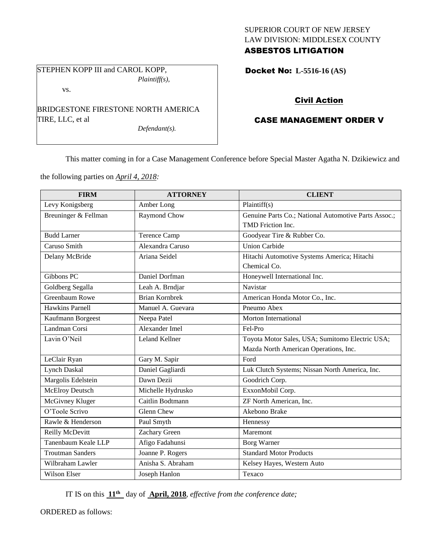## SUPERIOR COURT OF NEW JERSEY LAW DIVISION: MIDDLESEX COUNTY ASBESTOS LITIGATION

STEPHEN KOPP III and CAROL KOPP, *Plaintiff(s),*

vs.

BRIDGESTONE FIRESTONE NORTH AMERICA TIRE, LLC, et al

*Defendant(s).*

Docket No: **L-5516-16 (AS)** 

# Civil Action

## CASE MANAGEMENT ORDER V

This matter coming in for a Case Management Conference before Special Master Agatha N. Dzikiewicz and

the following parties on *April 4, 2018:*

| <b>FIRM</b>             | <b>ATTORNEY</b>       | <b>CLIENT</b>                                        |
|-------------------------|-----------------------|------------------------------------------------------|
| Levy Konigsberg         | Amber Long            | Plaintiff(s)                                         |
| Breuninger & Fellman    | Raymond Chow          | Genuine Parts Co.; National Automotive Parts Assoc.; |
|                         |                       | TMD Friction Inc.                                    |
| <b>Budd Larner</b>      | Terence Camp          | Goodyear Tire & Rubber Co.                           |
| Caruso Smith            | Alexandra Caruso      | <b>Union Carbide</b>                                 |
| Delany McBride          | Ariana Seidel         | Hitachi Automotive Systems America; Hitachi          |
|                         |                       | Chemical Co.                                         |
| Gibbons PC              | Daniel Dorfman        | Honeywell International Inc.                         |
| Goldberg Segalla        | Leah A. Brndjar       | Navistar                                             |
| Greenbaum Rowe          | <b>Brian Kornbrek</b> | American Honda Motor Co., Inc.                       |
| <b>Hawkins Parnell</b>  | Manuel A. Guevara     | Pneumo Abex                                          |
| Kaufmann Borgeest       | Neepa Patel           | Morton International                                 |
| Landman Corsi           | Alexander Imel        | Fel-Pro                                              |
| Lavin O'Neil            | <b>Leland Kellner</b> | Toyota Motor Sales, USA; Sumitomo Electric USA;      |
|                         |                       | Mazda North American Operations, Inc.                |
| LeClair Ryan            | Gary M. Sapir         | Ford                                                 |
| <b>Lynch Daskal</b>     | Daniel Gagliardi      | Luk Clutch Systems; Nissan North America, Inc.       |
| Margolis Edelstein      | Dawn Dezii            | Goodrich Corp.                                       |
| <b>McElroy Deutsch</b>  | Michelle Hydrusko     | ExxonMobil Corp.                                     |
| McGivney Kluger         | Caitlin Bodtmann      | ZF North American, Inc.                              |
| O'Toole Scrivo          | <b>Glenn Chew</b>     | Akebono Brake                                        |
| Rawle & Henderson       | Paul Smyth            | Hennessy                                             |
| Reilly McDevitt         | Zachary Green         | Maremont                                             |
| Tanenbaum Keale LLP     | Afigo Fadahunsi       | <b>Borg Warner</b>                                   |
| <b>Troutman Sanders</b> | Joanne P. Rogers      | <b>Standard Motor Products</b>                       |
| Wilbraham Lawler        | Anisha S. Abraham     | Kelsey Hayes, Western Auto                           |
| Wilson Elser            | Joseph Hanlon         | Texaco                                               |

IT IS on this **11 th** day of **April, 2018**, *effective from the conference date;*

ORDERED as follows: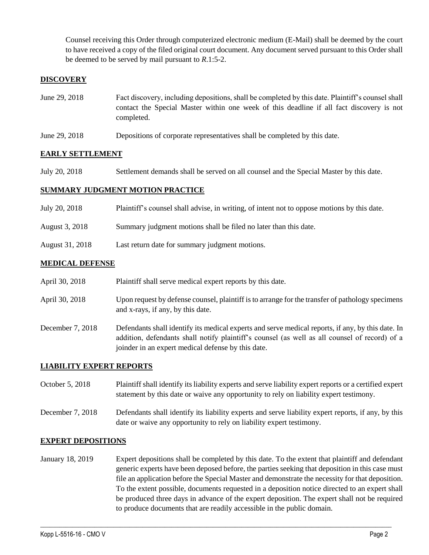Counsel receiving this Order through computerized electronic medium (E-Mail) shall be deemed by the court to have received a copy of the filed original court document. Any document served pursuant to this Order shall be deemed to be served by mail pursuant to *R*.1:5-2.

## **DISCOVERY**

- June 29, 2018 Fact discovery, including depositions, shall be completed by this date. Plaintiff's counsel shall contact the Special Master within one week of this deadline if all fact discovery is not completed.
- June 29, 2018 Depositions of corporate representatives shall be completed by this date.

## **EARLY SETTLEMENT**

July 20, 2018 Settlement demands shall be served on all counsel and the Special Master by this date.

### **SUMMARY JUDGMENT MOTION PRACTICE**

| July 20, 2018   | Plaintiff's counsel shall advise, in writing, of intent not to oppose motions by this date. |
|-----------------|---------------------------------------------------------------------------------------------|
| August 3, 2018  | Summary judgment motions shall be filed no later than this date.                            |
| August 31, 2018 | Last return date for summary judgment motions.                                              |

### **MEDICAL DEFENSE**

|  | April 30, 2018 | Plaintiff shall serve medical expert reports by this date. |
|--|----------------|------------------------------------------------------------|
|--|----------------|------------------------------------------------------------|

- April 30, 2018 Upon request by defense counsel, plaintiff is to arrange for the transfer of pathology specimens and x-rays, if any, by this date.
- December 7, 2018 Defendants shall identify its medical experts and serve medical reports, if any, by this date. In addition, defendants shall notify plaintiff's counsel (as well as all counsel of record) of a joinder in an expert medical defense by this date.

## **LIABILITY EXPERT REPORTS**

October 5, 2018 Plaintiff shall identify its liability experts and serve liability expert reports or a certified expert statement by this date or waive any opportunity to rely on liability expert testimony.

December 7, 2018 Defendants shall identify its liability experts and serve liability expert reports, if any, by this date or waive any opportunity to rely on liability expert testimony.

#### **EXPERT DEPOSITIONS**

January 18, 2019 Expert depositions shall be completed by this date. To the extent that plaintiff and defendant generic experts have been deposed before, the parties seeking that deposition in this case must file an application before the Special Master and demonstrate the necessity for that deposition. To the extent possible, documents requested in a deposition notice directed to an expert shall be produced three days in advance of the expert deposition. The expert shall not be required to produce documents that are readily accessible in the public domain.

 $\_$  ,  $\_$  ,  $\_$  ,  $\_$  ,  $\_$  ,  $\_$  ,  $\_$  ,  $\_$  ,  $\_$  ,  $\_$  ,  $\_$  ,  $\_$  ,  $\_$  ,  $\_$  ,  $\_$  ,  $\_$  ,  $\_$  ,  $\_$  ,  $\_$  ,  $\_$  ,  $\_$  ,  $\_$  ,  $\_$  ,  $\_$  ,  $\_$  ,  $\_$  ,  $\_$  ,  $\_$  ,  $\_$  ,  $\_$  ,  $\_$  ,  $\_$  ,  $\_$  ,  $\_$  ,  $\_$  ,  $\_$  ,  $\_$  ,